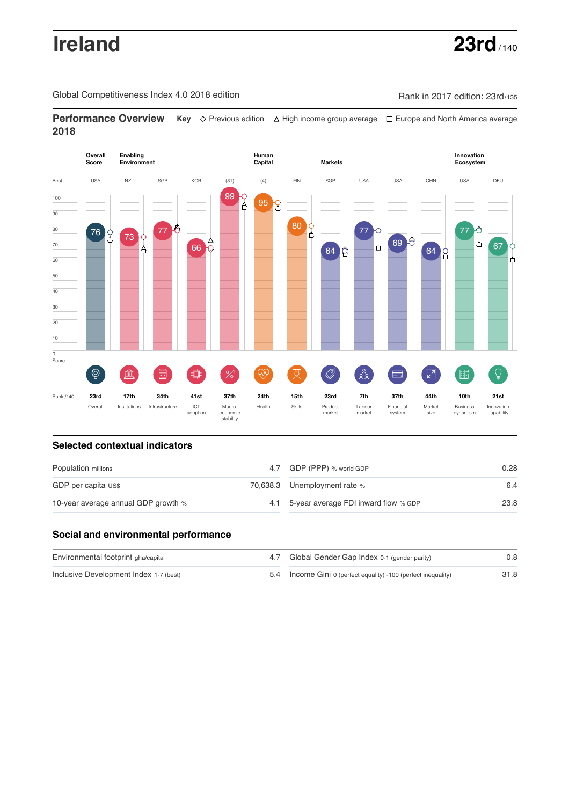# **Ireland 23rd** / 140

Global Competitiveness Index 4.0 2018 edition Company Rank in 2017 edition: 23rd/135

**Performance Overview** Key  $\Diamond$  Previous edition ∆ High income group average  $\Box$  Europe and North America average **2018**



## **Selected contextual indicators**

| Population millions                 |  | 4.7 GDP (PPP) % world GDP                | 0.28 |  |
|-------------------------------------|--|------------------------------------------|------|--|
| GDP per capita US\$                 |  | 70,638.3 Unemployment rate %             | 6.4  |  |
| 10-year average annual GDP growth % |  | 4.1 5-year average FDI inward flow % GDP | 23.8 |  |

## **Social and environmental performance**

| Environmental footprint gha/capita     | 4.7 Global Gender Gap Index 0-1 (gender parity)                | 0.8  |
|----------------------------------------|----------------------------------------------------------------|------|
| Inclusive Development Index 1-7 (best) | 5.4 Income Gini 0 (perfect equality) -100 (perfect inequality) | 31.8 |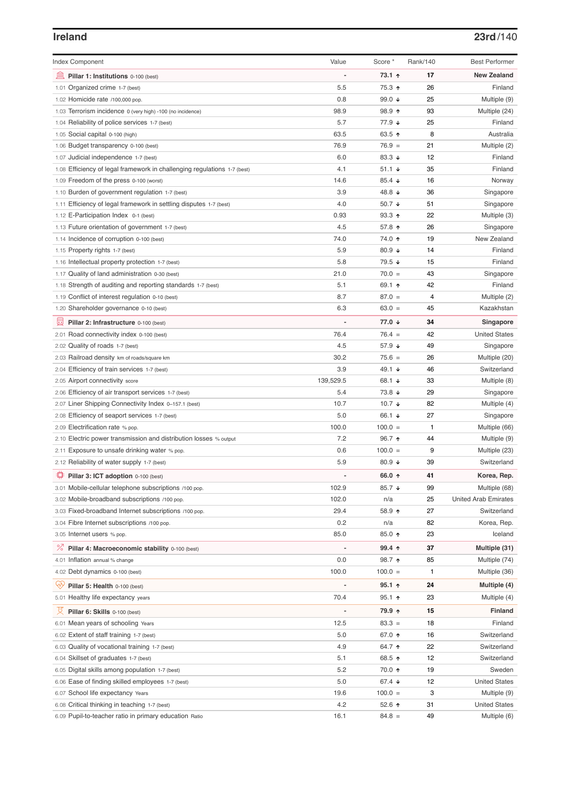## **Ireland 23rd**/140

| <b>Index Component</b>                                                   | Value     | Score *           | Rank/140     | <b>Best Performer</b>       |
|--------------------------------------------------------------------------|-----------|-------------------|--------------|-----------------------------|
| 寙<br>Pillar 1: Institutions 0-100 (best)                                 |           | 73.1 ↑            | 17           | <b>New Zealand</b>          |
| 1.01 Organized crime 1-7 (best)                                          | 5.5       | 75.3 ↑            | 26           | Finland                     |
| 1.02 Homicide rate /100,000 pop.                                         | 0.8       | 99.0 $\sqrt{ }$   | 25           | Multiple (9)                |
| 1.03 Terrorism incidence 0 (very high) -100 (no incidence)               | 98.9      | 98.9 ↑            | 93           | Multiple (24)               |
| 1.04 Reliability of police services 1-7 (best)                           | 5.7       | 77.9 ↓            | 25           | Finland                     |
| 1.05 Social capital 0-100 (high)                                         | 63.5      | 63.5 个            | 8            | Australia                   |
| 1.06 Budget transparency 0-100 (best)                                    | 76.9      | $76.9 =$          | 21           | Multiple (2)                |
| 1.07 Judicial independence 1-7 (best)                                    | 6.0       | 83.3 $\sqrt{ }$   | 12           | Finland                     |
| 1.08 Efficiency of legal framework in challenging regulations 1-7 (best) | 4.1       | 51.1 $\sqrt{ }$   | 35           | Finland                     |
| 1.09 Freedom of the press 0-100 (worst)                                  | 14.6      | 85.4 $\sqrt{ }$   | 16           | Norway                      |
| 1.10 Burden of government regulation 1-7 (best)                          | 3.9       | 48.8 ↓            | 36           | Singapore                   |
| 1.11 Efficiency of legal framework in settling disputes 1-7 (best)       | 4.0       | 50.7 $\downarrow$ | 51           | Singapore                   |
| 1.12 E-Participation Index 0-1 (best)                                    | 0.93      | $93.3$ ↑          | 22           | Multiple (3)                |
| 1.13 Future orientation of government 1-7 (best)                         | 4.5       | 57.8 ↑            | 26           | Singapore                   |
| 1.14 Incidence of corruption 0-100 (best)                                | 74.0      | 74.0 ↑            | 19           | New Zealand                 |
| 1.15 Property rights 1-7 (best)                                          | 5.9       | 80.9 ↓            | 14           | Finland                     |
| 1.16 Intellectual property protection 1-7 (best)                         | 5.8       | 79.5 ↓            | 15           | Finland                     |
| 1.17 Quality of land administration 0-30 (best)                          | 21.0      | $70.0 =$          | 43           | Singapore                   |
| 1.18 Strength of auditing and reporting standards 1-7 (best)             | 5.1       | 69.1 ↑            | 42           | Finland                     |
| 1.19 Conflict of interest regulation 0-10 (best)                         | 8.7       | $87.0 =$          | 4            | Multiple (2)                |
| 1.20 Shareholder governance 0-10 (best)                                  | 6.3       | $63.0 =$          | 45           | Kazakhstan                  |
| 員<br>Pillar 2: Infrastructure 0-100 (best)                               |           | 77.0 ↓            | 34           | Singapore                   |
| 2.01 Road connectivity index 0-100 (best)                                | 76.4      | $76.4 =$          | 42           | <b>United States</b>        |
| 2.02 Quality of roads 1-7 (best)                                         | 4.5       | 57.9 ↓            | 49           | Singapore                   |
| 2.03 Railroad density km of roads/square km                              | 30.2      | $75.6 =$          | 26           | Multiple (20)               |
| 2.04 Efficiency of train services 1-7 (best)                             | 3.9       | 49.1 ↓            | 46           | Switzerland                 |
| 2.05 Airport connectivity score                                          | 139,529.5 | 68.1 ↓            | 33           | Multiple (8)                |
| 2.06 Efficiency of air transport services 1-7 (best)                     | 5.4       | 73.8 ↓            | 29           | Singapore                   |
| 2.07 Liner Shipping Connectivity Index 0-157.1 (best)                    | 10.7      | 10.7 $\sqrt{ }$   | 82           | Multiple (4)                |
| 2.08 Efficiency of seaport services 1-7 (best)                           | 5.0       | 66.1 ↓            | 27           | Singapore                   |
| 2.09 Electrification rate % pop.                                         | 100.0     | $100.0 =$         | $\mathbf{1}$ | Multiple (66)               |
| 2.10 Electric power transmission and distribution losses % output        | 7.2       | 96.7 ↑            | 44           | Multiple (9)                |
| 2.11 Exposure to unsafe drinking water % pop.                            | 0.6       | $100.0 =$         | 9            | Multiple (23)               |
| 2.12 Reliability of water supply 1-7 (best)                              | 5.9       | 80.9 $\sqrt{ }$   | 39           | Switzerland                 |
| ₽<br>Pillar 3: ICT adoption 0-100 (best)                                 |           | 66.0 ↑            | 41           | Korea, Rep.                 |
| 3.01 Mobile-cellular telephone subscriptions /100 pop.                   | 102.9     | 85.7 ↓            | 99           | Multiple (68)               |
| 3.02 Mobile-broadband subscriptions /100 pop.                            | 102.0     | n/a               | 25           | <b>United Arab Emirates</b> |
| 3.03 Fixed-broadband Internet subscriptions /100 pop.                    | 29.4      | 58.9 ↑            | 27           | Switzerland                 |
| 3.04 Fibre Internet subscriptions /100 pop.                              | 0.2       | n/a               | 82           | Korea, Rep.                 |
| 3.05 Internet users % pop.                                               | 85.0      | 85.0 ↑            | 23           | Iceland                     |
| <sup>%</sup> Pillar 4: Macroeconomic stability 0-100 (best)              |           | 99.4 个            | 37           | Multiple (31)               |
| 4.01 Inflation annual % change                                           | 0.0       | 98.7 ↑            | 85           | Multiple (74)               |
| 4.02 Debt dynamics 0-100 (best)                                          | 100.0     | $100.0 =$         | 1            | Multiple (36)               |
| Ğ,<br>Pillar 5: Health 0-100 (best)                                      |           | $95.1$ ↑          | 24           | Multiple (4)                |
| 5.01 Healthy life expectancy years                                       | 70.4      | $95.1$ 1          | 23           | Multiple (4)                |
|                                                                          |           |                   |              |                             |
| 성<br>Pillar 6: Skills 0-100 (best)                                       |           | 79.9 ↑            | 15           | <b>Finland</b>              |
| 6.01 Mean years of schooling Years                                       | 12.5      | $83.3 =$          | 18           | Finland                     |
| 6.02 Extent of staff training 1-7 (best)                                 | 5.0       | 67.0 ↑            | 16           | Switzerland                 |
| 6.03 Quality of vocational training 1-7 (best)                           | 4.9       | 64.7 ↑            | 22           | Switzerland                 |
| 6.04 Skillset of graduates 1-7 (best)                                    | 5.1       | 68.5 ↑            | 12           | Switzerland                 |
| 6.05 Digital skills among population 1-7 (best)                          | 5.2       | 70.0 ↑            | 19           | Sweden                      |
| 6.06 Ease of finding skilled employees 1-7 (best)                        | 5.0       | 67.4 $\sqrt{ }$   | 12           | <b>United States</b>        |
| 6.07 School life expectancy Years                                        | 19.6      | $100.0 =$         | 3            | Multiple (9)                |
| 6.08 Critical thinking in teaching 1-7 (best)                            | 4.2       | 52.6 个            | 31<br>49     | <b>United States</b>        |
| 6.09 Pupil-to-teacher ratio in primary education Ratio                   | 16.1      | $84.8 =$          |              | Multiple (6)                |